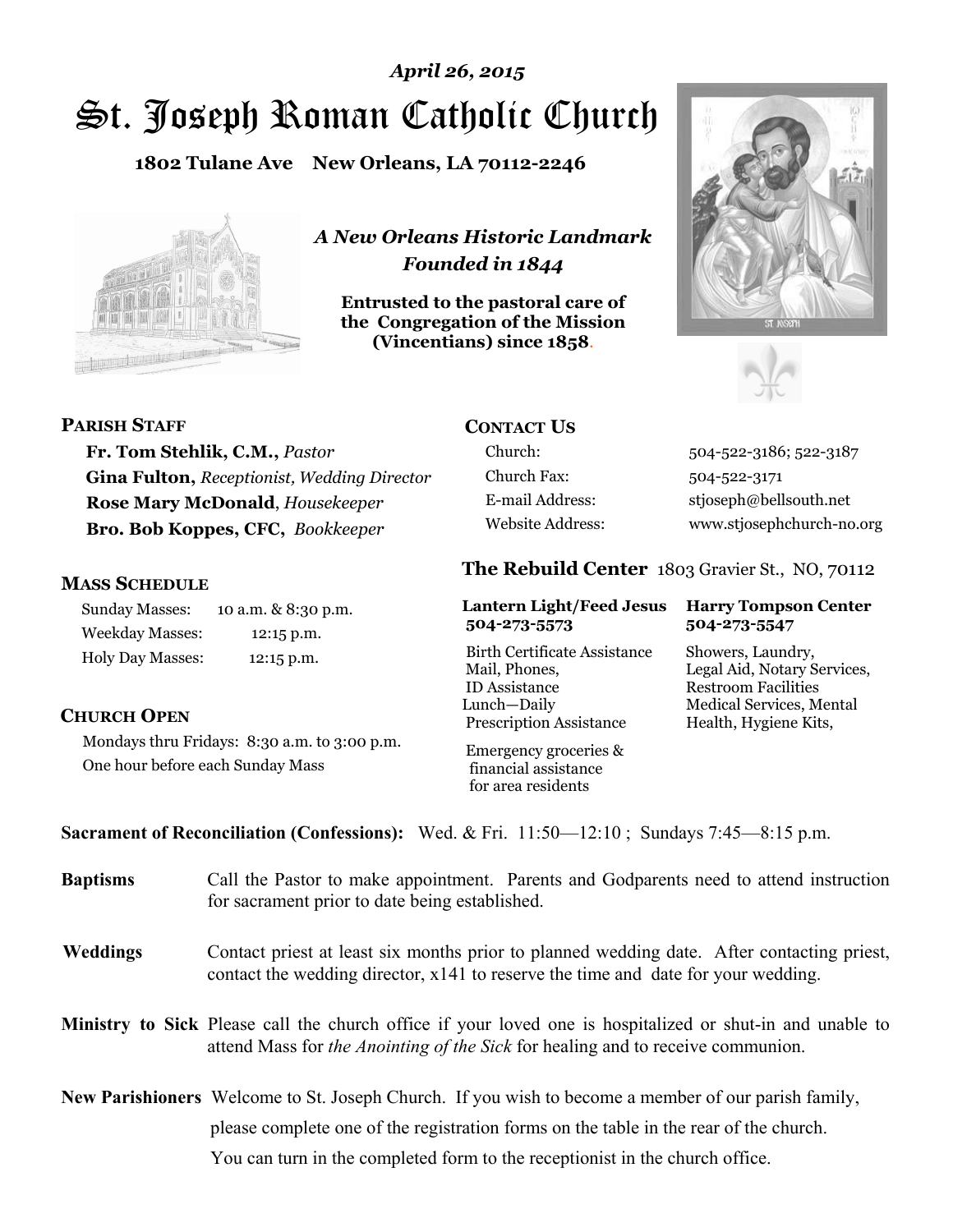# St. Joseph Roman Catholic Church *April 26, 2015*

**1802 Tulane Ave New Orleans, LA 70112-2246**



*A New Orleans Historic Landmark Founded in 1844* 

**Entrusted to the pastoral care of the Congregation of the Mission (Vincentians) since 1858**.





**PARISH STAFF**

**Fr. Tom Stehlik, C.M.,** *Pastor*  **Gina Fulton,** *Receptionist, Wedding Director* **Rose Mary McDonald**, *Housekeeper*  **Bro. Bob Koppes, CFC,** *Bookkeeper* 

#### **MASS SCHEDULE**

**CHURCH OPEN**

Sunday Masses: 10 a.m. & 8:30 p.m. Weekday Masses: 12:15 p.m. Holy Day Masses: 12:15 p.m.

One hour before each Sunday Mass

Mondays thru Fridays: 8:30 a.m. to 3:00 p.m.

## **CONTACT US**

Church Fax: 504-522-3171

Church: 504-522-3186; 522-3187 E-mail Address: stjoseph@bellsouth.net Website Address: www.stjosephchurch-no.org

### **The Rebuild Center** 1803 Gravier St., NO, 70112

#### **Lantern Light/Feed Jesus Harry Tompson Center 504-273-5573 504-273-5547**

Birth Certificate Assistance Showers, Laundry, Mail, Phones, Legal Aid, Notary Services, ID Assistance Restroom Facilities Lunch—Daily Medical Services, Mental Prescription Assistance Health, Hygiene Kits,

 Emergency groceries & financial assistance for area residents

**Sacrament of Reconciliation (Confessions):** Wed. & Fri. 11:50—12:10 ; Sundays 7:45—8:15 p.m.

| <b>Baptisms</b> | Call the Pastor to make appointment. Parents and Godparents need to attend instruction<br>for sacrament prior to date being established.                                                                   |
|-----------------|------------------------------------------------------------------------------------------------------------------------------------------------------------------------------------------------------------|
| <b>Weddings</b> | Contact priest at least six months prior to planned wedding date. After contacting priest,<br>contact the wedding director, $x141$ to reserve the time and date for your wedding.                          |
|                 | <b>Ministry to Sick</b> Please call the church office if your loved one is hospitalized or shut-in and unable to<br>attend Mass for <i>the Anointing of the Sick</i> for healing and to receive communion. |
|                 | <b>New Parishioners</b> Welcome to St. Joseph Church. If you wish to become a member of our parish family,<br>please complete one of the registration forms on the table in the rear of the church.        |

You can turn in the completed form to the receptionist in the church office.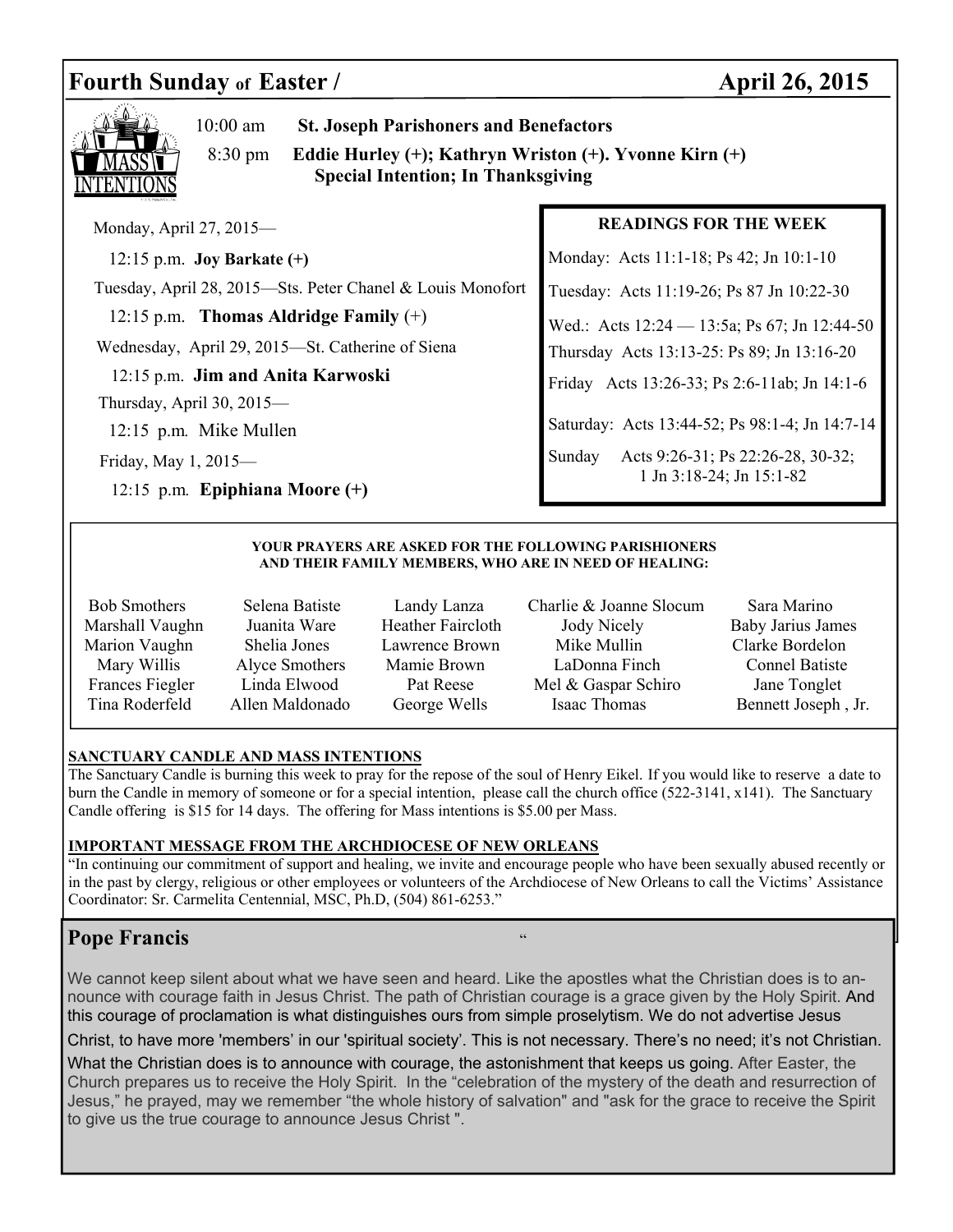## Fourth Sunday of Easter / **April 26, 2015**



10:00 am **St. Joseph Parishoners and Benefactors**

 8:30 pm **Eddie Hurley (+); Kathryn Wriston (+). Yvonne Kirn (+) Special Intention; In Thanksgiving**

Monday, April 27, 2015—

12:15 p.m. **Joy Barkate (+)** 

Tuesday, April 28, 2015—Sts. Peter Chanel & Louis Monofort

12:15 p.m. **Thomas Aldridge Family** (+)

Wednesday, April 29, 2015—St. Catherine of Siena

12:15 p.m. **Jim and Anita Karwoski** 

Thursday, April 30, 2015—

12:15 p.m*.* Mike Mullen

Friday, May 1, 2015—

12:15 p.m*.* **Epiphiana Moore (+)**

#### **READINGS FOR THE WEEK**

Monday: Acts 11:1-18; Ps 42; Jn 10:1-10

Tuesday: Acts 11:19-26; Ps 87 Jn 10:22-30

Wed.: Acts 12:24 — 13:5a; Ps 67; Jn 12:44-50

Thursday Acts 13:13-25: Ps 89; Jn 13:16-20

Friday Acts 13:26-33; Ps 2:6-11ab; Jn 14:1-6

Saturday: Acts 13:44-52; Ps 98:1-4; Jn 14:7-14

Sunday Acts 9:26-31; Ps 22:26-28, 30-32; 1 Jn 3:18-24; Jn 15:1-82

#### **YOUR PRAYERS ARE ASKED FOR THE FOLLOWING PARISHIONERS AND THEIR FAMILY MEMBERS, WHO ARE IN NEED OF HEALING:**

- 
- 
- Bob Smothers Selena Batiste Landy Lanza Charlie & Joanne Slocum Sara Marino Marshall Vaughn Juanita Ware Heather Faircloth Jody Nicely Baby Jarius James Marion Vaughn Shelia Jones Lawrence Brown Mike Mullin Clarke Bordelon Mary Willis Alyce Smothers Mamie Brown LaDonna Finch Connel Batiste Frances Fiegler Linda Elwood Pat Reese Mel & Gaspar Schiro Jane Tonglet Tina Roderfeld Allen Maldonado George Wells Isaac Thomas Bennett Joseph , Jr.
	-

#### **SANCTUARY CANDLE AND MASS INTENTIONS**

The Sanctuary Candle is burning this week to pray for the repose of the soul of Henry Eikel. If you would like to reserve a date to burn the Candle in memory of someone or for a special intention, please call the church office (522-3141, x141). The Sanctuary Candle offering is \$15 for 14 days. The offering for Mass intentions is \$5.00 per Mass.

#### **IMPORTANT MESSAGE FROM THE ARCHDIOCESE OF NEW ORLEANS**

"In continuing our commitment of support and healing, we invite and encourage people who have been sexually abused recently or in the past by clergy, religious or other employees or volunteers of the Archdiocese of New Orleans to call the Victims' Assistance Coordinator: Sr. Carmelita Centennial, MSC, Ph.D, (504) 861-6253."

### **Pope Francis** "

We cannot keep silent about what we have seen and heard. Like the apostles what the Christian does is to announce with courage faith in Jesus Christ. The path of Christian courage is a grace given by the Holy Spirit. And this courage of proclamation is what distinguishes ours from simple proselytism. We do not advertise Jesus

Christ, to have more 'members' in our 'spiritual society'. This is not necessary. There's no need; it's not Christian.

What the Christian does is to announce with courage, the astonishment that keeps us going. After Easter, the Church prepares us to receive the Holy Spirit. In the "celebration of the mystery of the death and resurrection of Jesus," he prayed, may we remember "the whole history of salvation" and "ask for the grace to receive the Spirit to give us the true courage to announce Jesus Christ ".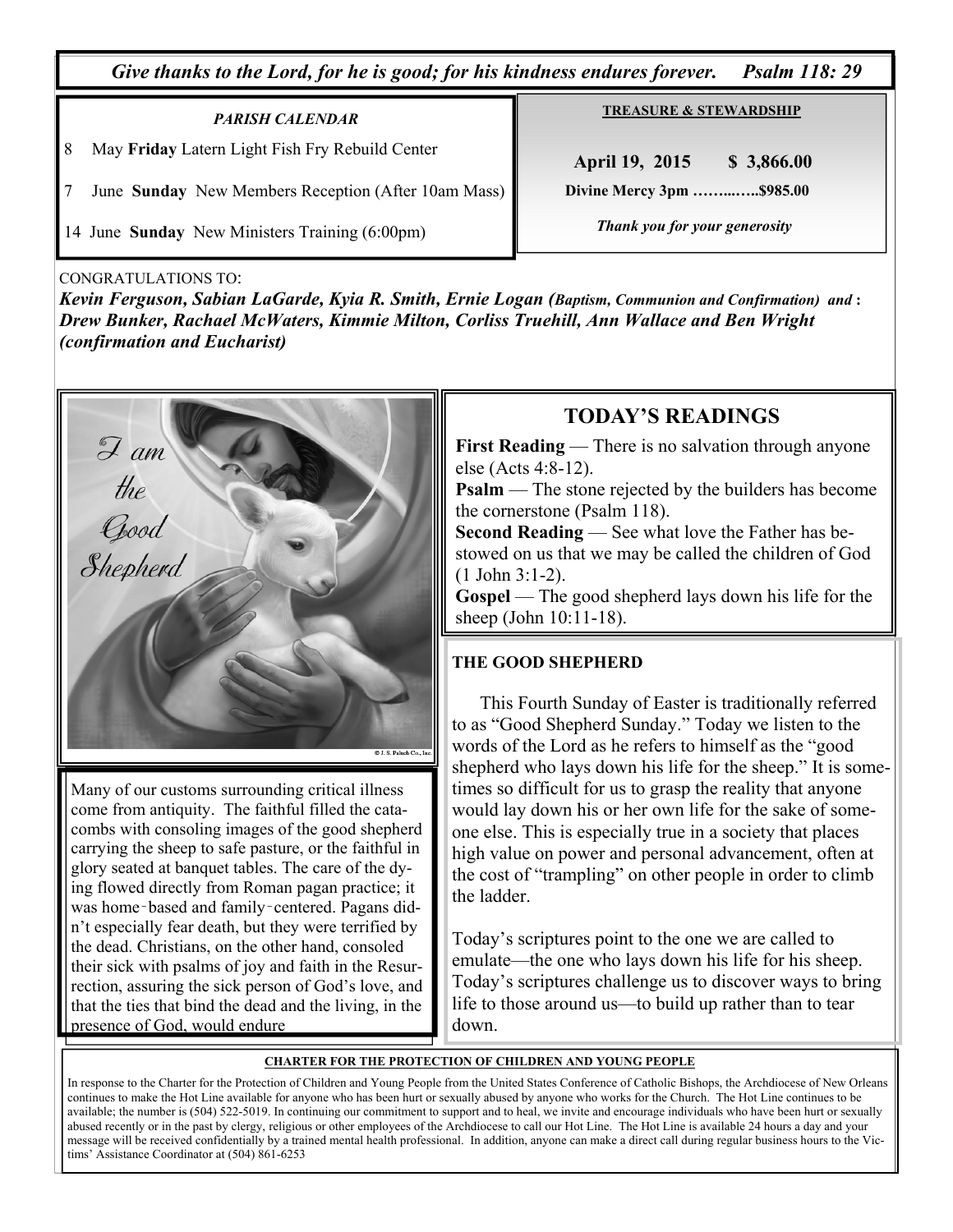*Give thanks to the Lord, for he is good; for his kindness endures forever. Psalm 118: 29* 

### *PARISH CALENDAR*  8 May **Friday** Latern Light Fish Fry Rebuild Center

7 June **Sunday** New Members Reception (After 10am Mass)

14 June **Sunday** New Ministers Training (6:00pm)

**TREASURE & STEWARDSHIP**

 **April 19, 2015 \$ 3,866.00 Divine Mercy 3pm ……...…..\$985.00** 

 *Thank you for your generosity* 

CONGRATULATIONS TO:

*Kevin Ferguson, Sabian LaGarde, Kyia R. Smith, Ernie Logan (Baptism, Communion and Confirmation) and* **:**  *Drew Bunker, Rachael McWaters, Kimmie Milton, Corliss Truehill, Ann Wallace and Ben Wright (confirmation and Eucharist)* 



Many of our customs surrounding critical illness come from antiquity. The faithful filled the catacombs with consoling images of the good shepherd carrying the sheep to safe pasture, or the faithful in glory seated at banquet tables. The care of the dying flowed directly from Roman pagan practice; it was home-based and family-centered. Pagans didn't especially fear death, but they were terrified by the dead. Christians, on the other hand, consoled their sick with psalms of joy and faith in the Resurrection, assuring the sick person of God's love, and that the ties that bind the dead and the living, in the presence of God, would endure

### **TODAY'S READINGS**

**First Reading** — There is no salvation through anyone else (Acts 4:8-12).

**Psalm** — The stone rejected by the builders has become the cornerstone (Psalm 118).

**Second Reading** — See what love the Father has bestowed on us that we may be called the children of God (1 John 3:1-2).

Gospel — The good shepherd lays down his life for the sheep (John 10:11-18).

### **THE GOOD SHEPHERD**

 This Fourth Sunday of Easter is traditionally referred to as "Good Shepherd Sunday." Today we listen to the words of the Lord as he refers to himself as the "good shepherd who lays down his life for the sheep." It is sometimes so difficult for us to grasp the reality that anyone would lay down his or her own life for the sake of someone else. This is especially true in a society that places high value on power and personal advancement, often at the cost of "trampling" on other people in order to climb the ladder.

Today's scriptures point to the one we are called to emulate—the one who lays down his life for his sheep. Today's scriptures challenge us to discover ways to bring life to those around us—to build up rather than to tear down.

#### **CHARTER FOR THE PROTECTION OF CHILDREN AND YOUNG PEOPLE**

In response to the Charter for the Protection of Children and Young People from the United States Conference of Catholic Bishops, the Archdiocese of New Orleans continues to make the Hot Line available for anyone who has been hurt or sexually abused by anyone who works for the Church. The Hot Line continues to be available; the number is (504) 522-5019. In continuing our commitment to support and to heal, we invite and encourage individuals who have been hurt or sexually abused recently or in the past by clergy, religious or other employees of the Archdiocese to call our Hot Line. The Hot Line is available 24 hours a day and your message will be received confidentially by a trained mental health professional. In addition, anyone can make a direct call during regular business hours to the Victims' Assistance Coordinator at (504) 861-6253